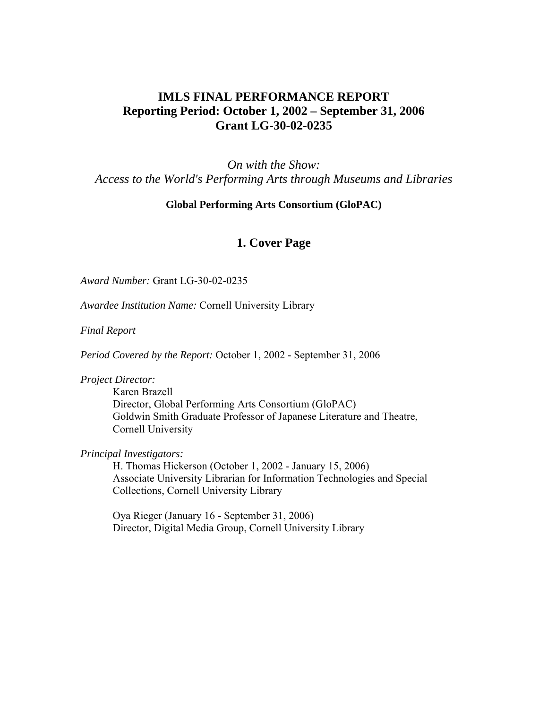# **IMLS FINAL PERFORMANCE REPORT Reporting Period: October 1, 2002 – September 31, 2006 Grant LG-30-02-0235**

*On with the Show: Access to the World's Performing Arts through Museums and Libraries* 

#### **Global Performing Arts Consortium (GloPAC)**

## **1. Cover Page**

*Award Number:* Grant LG-30-02-0235

*Awardee Institution Name:* Cornell University Library

*Final Report*

*Period Covered by the Report:* October 1, 2002 - September 31, 2006

*Project Director:* 

Karen Brazell Director, Global Performing Arts Consortium (GloPAC) Goldwin Smith Graduate Professor of Japanese Literature and Theatre, Cornell University

*Principal Investigators:* 

H. Thomas Hickerson (October 1, 2002 - January 15, 2006) Associate University Librarian for Information Technologies and Special Collections, Cornell University Library

Oya Rieger (January 16 - September 31, 2006) Director, Digital Media Group, Cornell University Library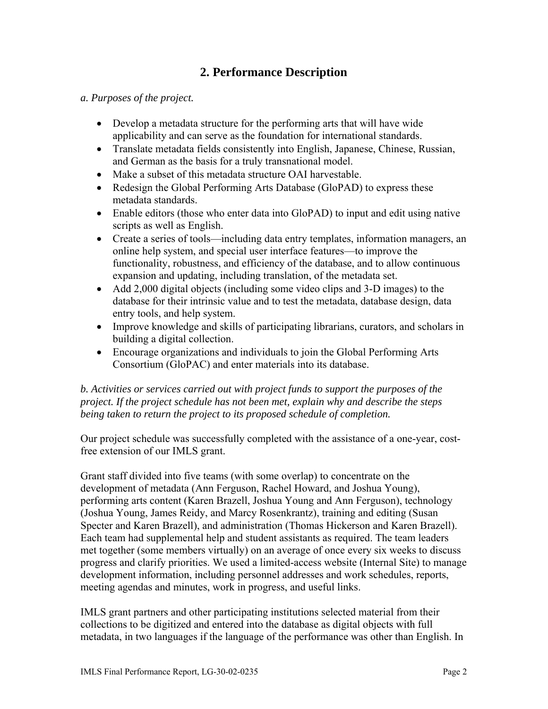# **2. Performance Description**

#### *a. Purposes of the project.*

- Develop a metadata structure for the performing arts that will have wide applicability and can serve as the foundation for international standards.
- Translate metadata fields consistently into English, Japanese, Chinese, Russian, and German as the basis for a truly transnational model.
- Make a subset of this metadata structure OAI harvestable.
- Redesign the Global Performing Arts Database (GloPAD) to express these metadata standards.
- Enable editors (those who enter data into GloPAD) to input and edit using native scripts as well as English.
- Create a series of tools—including data entry templates, information managers, an online help system, and special user interface features—to improve the functionality, robustness, and efficiency of the database, and to allow continuous expansion and updating, including translation, of the metadata set.
- Add 2,000 digital objects (including some video clips and 3-D images) to the database for their intrinsic value and to test the metadata, database design, data entry tools, and help system.
- Improve knowledge and skills of participating librarians, curators, and scholars in building a digital collection.
- Encourage organizations and individuals to join the Global Performing Arts Consortium (GloPAC) and enter materials into its database.

#### *b. Activities or services carried out with project funds to support the purposes of the project. If the project schedule has not been met, explain why and describe the steps being taken to return the project to its proposed schedule of completion.*

Our project schedule was successfully completed with the assistance of a one-year, costfree extension of our IMLS grant.

Grant staff divided into five teams (with some overlap) to concentrate on the development of metadata (Ann Ferguson, Rachel Howard, and Joshua Young), performing arts content (Karen Brazell, Joshua Young and Ann Ferguson), technology (Joshua Young, James Reidy, and Marcy Rosenkrantz), training and editing (Susan Specter and Karen Brazell), and administration (Thomas Hickerson and Karen Brazell). Each team had supplemental help and student assistants as required. The team leaders met together (some members virtually) on an average of once every six weeks to discuss progress and clarify priorities. We used a limited-access website (Internal Site) to manage development information, including personnel addresses and work schedules, reports, meeting agendas and minutes, work in progress, and useful links.

IMLS grant partners and other participating institutions selected material from their collections to be digitized and entered into the database as digital objects with full metadata, in two languages if the language of the performance was other than English. In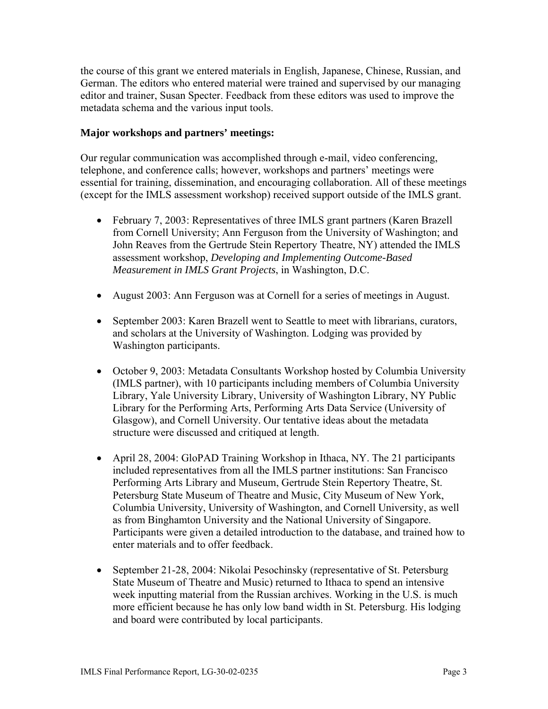the course of this grant we entered materials in English, Japanese, Chinese, Russian, and German. The editors who entered material were trained and supervised by our managing editor and trainer, Susan Specter. Feedback from these editors was used to improve the metadata schema and the various input tools.

#### **Major workshops and partners' meetings:**

Our regular communication was accomplished through e-mail, video conferencing, telephone, and conference calls; however, workshops and partners' meetings were essential for training, dissemination, and encouraging collaboration. All of these meetings (except for the IMLS assessment workshop) received support outside of the IMLS grant.

- February 7, 2003: Representatives of three IMLS grant partners (Karen Brazell from Cornell University; Ann Ferguson from the University of Washington; and John Reaves from the Gertrude Stein Repertory Theatre, NY) attended the IMLS assessment workshop, *Developing and Implementing Outcome-Based Measurement in IMLS Grant Projects*, in Washington, D.C.
- August 2003: Ann Ferguson was at Cornell for a series of meetings in August.
- September 2003: Karen Brazell went to Seattle to meet with librarians, curators, and scholars at the University of Washington. Lodging was provided by Washington participants.
- October 9, 2003: Metadata Consultants Workshop hosted by Columbia University (IMLS partner), with 10 participants including members of Columbia University Library, Yale University Library, University of Washington Library, NY Public Library for the Performing Arts, Performing Arts Data Service (University of Glasgow), and Cornell University. Our tentative ideas about the metadata structure were discussed and critiqued at length.
- April 28, 2004: GloPAD Training Workshop in Ithaca, NY. The 21 participants included representatives from all the IMLS partner institutions: San Francisco Performing Arts Library and Museum, Gertrude Stein Repertory Theatre, St. Petersburg State Museum of Theatre and Music, City Museum of New York, Columbia University, University of Washington, and Cornell University, as well as from Binghamton University and the National University of Singapore. Participants were given a detailed introduction to the database, and trained how to enter materials and to offer feedback.
- September 21-28, 2004: Nikolai Pesochinsky (representative of St. Petersburg State Museum of Theatre and Music) returned to Ithaca to spend an intensive week inputting material from the Russian archives. Working in the U.S. is much more efficient because he has only low band width in St. Petersburg. His lodging and board were contributed by local participants.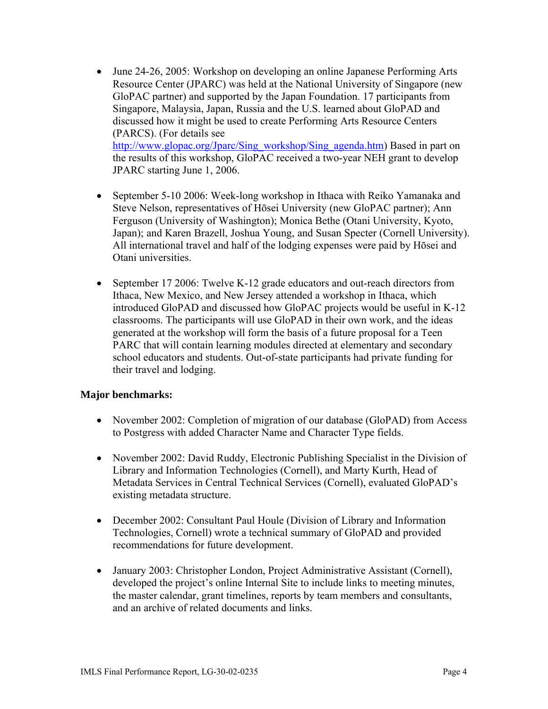- June 24-26, 2005: Workshop on developing an online Japanese Performing Arts Resource Center (JPARC) was held at the National University of Singapore (new GloPAC partner) and supported by the Japan Foundation. 17 participants from Singapore, Malaysia, Japan, Russia and the U.S. learned about GloPAD and discussed how it might be used to create Performing Arts Resource Centers (PARCS). (For details see [http://www.glopac.org/Jparc/Sing\\_workshop/Sing\\_agenda.htm\)](http://www.glopac.org/Jparc/Sing_workshop/Sing_agenda.htm) Based in part on the results of this workshop, GloPAC received a two-year NEH grant to develop JPARC starting June 1, 2006.
- September 5-10 2006: Week-long workshop in Ithaca with Reiko Yamanaka and Steve Nelson, representatives of Hōsei University (new GloPAC partner); Ann Ferguson (University of Washington); Monica Bethe (Otani University, Kyoto, Japan); and Karen Brazell, Joshua Young, and Susan Specter (Cornell University). All international travel and half of the lodging expenses were paid by Hōsei and Otani universities.
- September 17 2006: Twelve K-12 grade educators and out-reach directors from Ithaca, New Mexico, and New Jersey attended a workshop in Ithaca, which introduced GloPAD and discussed how GloPAC projects would be useful in K-12 classrooms. The participants will use GloPAD in their own work, and the ideas generated at the workshop will form the basis of a future proposal for a Teen PARC that will contain learning modules directed at elementary and secondary school educators and students. Out-of-state participants had private funding for their travel and lodging.

#### **Major benchmarks:**

- November 2002: Completion of migration of our database (GloPAD) from Access to Postgress with added Character Name and Character Type fields.
- November 2002: David Ruddy, Electronic Publishing Specialist in the Division of Library and Information Technologies (Cornell), and Marty Kurth, Head of Metadata Services in Central Technical Services (Cornell), evaluated GloPAD's existing metadata structure.
- December 2002: Consultant Paul Houle (Division of Library and Information Technologies, Cornell) wrote a technical summary of GloPAD and provided recommendations for future development.
- January 2003: Christopher London, Project Administrative Assistant (Cornell), developed the project's online Internal Site to include links to meeting minutes, the master calendar, grant timelines, reports by team members and consultants, and an archive of related documents and links.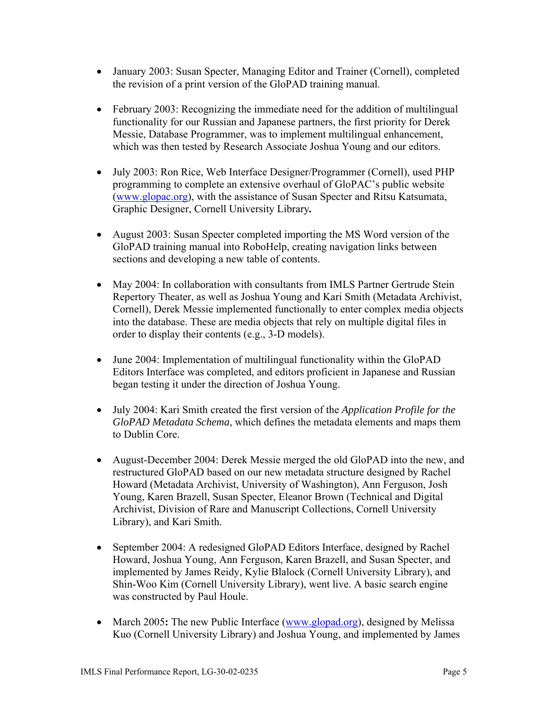- January 2003: Susan Specter, Managing Editor and Trainer (Cornell), completed the revision of a print version of the GloPAD training manual.
- February 2003: Recognizing the immediate need for the addition of multilingual functionality for our Russian and Japanese partners, the first priority for Derek Messie, Database Programmer, was to implement multilingual enhancement, which was then tested by Research Associate Joshua Young and our editors.
- July 2003: Ron Rice, Web Interface Designer/Programmer (Cornell), used PHP programming to complete an extensive overhaul of GloPAC's public website (www.glopac.org), with the assistance of Susan Specter and Ritsu Katsumata, Graphic Designer, Cornell University Library*.*
- August 2003: Susan Specter completed importing the MS Word version of the GloPAD training manual into RoboHelp, creating navigation links between sections and developing a new table of contents.
- May 2004: In collaboration with consultants from IMLS Partner Gertrude Stein Repertory Theater, as well as Joshua Young and Kari Smith (Metadata Archivist, Cornell), Derek Messie implemented functionally to enter complex media objects into the database. These are media objects that rely on multiple digital files in order to display their contents (e.g., 3-D models).
- June 2004: Implementation of multilingual functionality within the GloPAD Editors Interface was completed, and editors proficient in Japanese and Russian began testing it under the direction of Joshua Young.
- July 2004: Kari Smith created the first version of the *Application Profile for the GloPAD Metadata Schema*, which defines the metadata elements and maps them to Dublin Core.
- August-December 2004: Derek Messie merged the old GloPAD into the new, and restructured GloPAD based on our new metadata structure designed by Rachel Howard (Metadata Archivist, University of Washington), Ann Ferguson, Josh Young, Karen Brazell, Susan Specter, Eleanor Brown (Technical and Digital Archivist, Division of Rare and Manuscript Collections, Cornell University Library), and Kari Smith.
- September 2004: A redesigned GloPAD Editors Interface, designed by Rachel Howard, Joshua Young, Ann Ferguson, Karen Brazell, and Susan Specter, and implemented by James Reidy, Kylie Blalock (Cornell University Library), and Shin-Woo Kim (Cornell University Library), went live. A basic search engine was constructed by Paul Houle.
- March 2005**:** The new Public Interface [\(www.glopad.org\)](http://www.glopad.org/), designed by Melissa Kuo (Cornell University Library) and Joshua Young, and implemented by James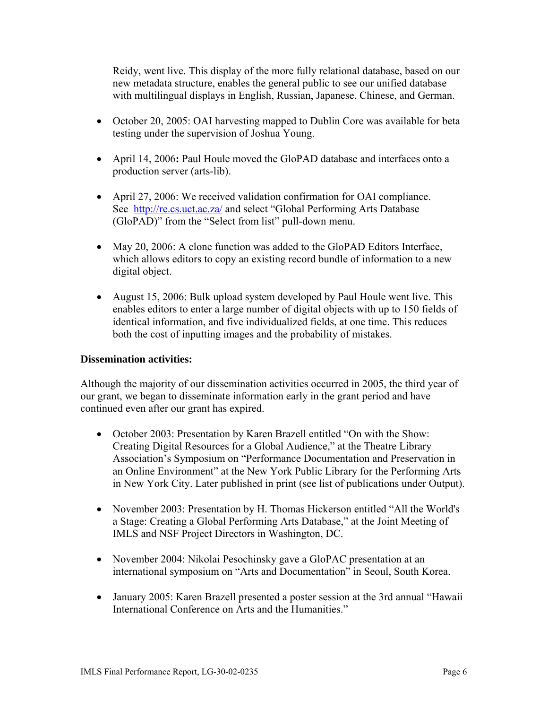Reidy, went live. This display of the more fully relational database, based on our new metadata structure, enables the general public to see our unified database with multilingual displays in English, Russian, Japanese, Chinese, and German.

- October 20, 2005: OAI harvesting mapped to Dublin Core was available for beta testing under the supervision of Joshua Young.
- April 14, 2006**:** Paul Houle moved the GloPAD database and interfaces onto a production server (arts-lib).
- April 27, 2006: We received validation confirmation for OAI compliance. See <http://re.cs.uct.ac.za/>and select "Global Performing Arts Database (GloPAD)" from the "Select from list" pull-down menu.
- May 20, 2006: A clone function was added to the GloPAD Editors Interface, which allows editors to copy an existing record bundle of information to a new digital object.
- August 15, 2006: Bulk upload system developed by Paul Houle went live. This enables editors to enter a large number of digital objects with up to 150 fields of identical information, and five individualized fields, at one time. This reduces both the cost of inputting images and the probability of mistakes.

#### **Dissemination activities:**

Although the majority of our dissemination activities occurred in 2005, the third year of our grant, we began to disseminate information early in the grant period and have continued even after our grant has expired.

- October 2003: Presentation by Karen Brazell entitled "On with the Show: Creating Digital Resources for a Global Audience," at the Theatre Library Association's Symposium on "Performance Documentation and Preservation in an Online Environment" at the New York Public Library for the Performing Arts in New York City. Later published in print (see list of publications under Output).
- November 2003: Presentation by H. Thomas Hickerson entitled "All the World's" a Stage: Creating a Global Performing Arts Database," at the Joint Meeting of IMLS and NSF Project Directors in Washington, DC.
- November 2004: Nikolai Pesochinsky gave a GloPAC presentation at an international symposium on "Arts and Documentation" in Seoul, South Korea.
- January 2005: Karen Brazell presented a poster session at the 3rd annual "Hawaii" International Conference on Arts and the Humanities."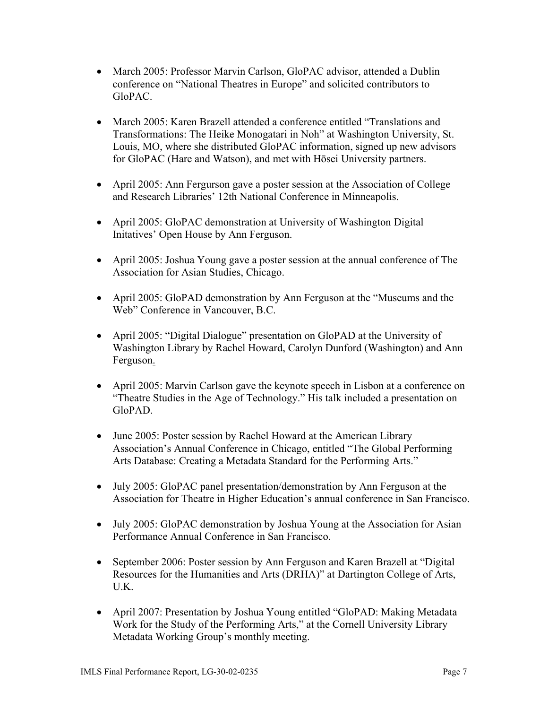- March 2005: Professor Marvin Carlson, GloPAC advisor, attended a Dublin conference on "National Theatres in Europe" and solicited contributors to GloPAC.
- March 2005: Karen Brazell attended a conference entitled "Translations and Transformations: The Heike Monogatari in Noh" at Washington University, St. Louis, MO, where she distributed GloPAC information, signed up new advisors for GloPAC (Hare and Watson), and met with Hōsei University partners.
- April 2005: Ann Fergurson gave a poster session at the Association of College and Research Libraries' 12th National Conference in Minneapolis.
- April 2005: GloPAC demonstration at University of Washington Digital Initatives' Open House by Ann Ferguson.
- April 2005: Joshua Young gave a poster session at the annual conference of The Association for Asian Studies, Chicago.
- April 2005: GloPAD demonstration by Ann Ferguson at the "Museums and the Web" Conference in Vancouver, B.C.
- April 2005: "Digital Dialogue" presentation on GloPAD at the University of Washington Library by Rachel Howard, Carolyn Dunford (Washington) and Ann Ferguson.
- April 2005: Marvin Carlson gave the keynote speech in Lisbon at a conference on "Theatre Studies in the Age of Technology." His talk included a presentation on GloPAD.
- June 2005: Poster session by Rachel Howard at the American Library Association's Annual Conference in Chicago, entitled "The Global Performing Arts Database: Creating a Metadata Standard for the Performing Arts."
- July 2005: GloPAC panel presentation/demonstration by Ann Ferguson at the Association for Theatre in Higher Education's annual conference in San Francisco.
- July 2005: GloPAC demonstration by Joshua Young at the Association for Asian Performance Annual Conference in San Francisco.
- September 2006: Poster session by Ann Ferguson and Karen Brazell at "Digital" Resources for the Humanities and Arts (DRHA)" at Dartington College of Arts, U.K.
- April 2007: Presentation by Joshua Young entitled "GloPAD: Making Metadata Work for the Study of the Performing Arts," at the Cornell University Library Metadata Working Group's monthly meeting.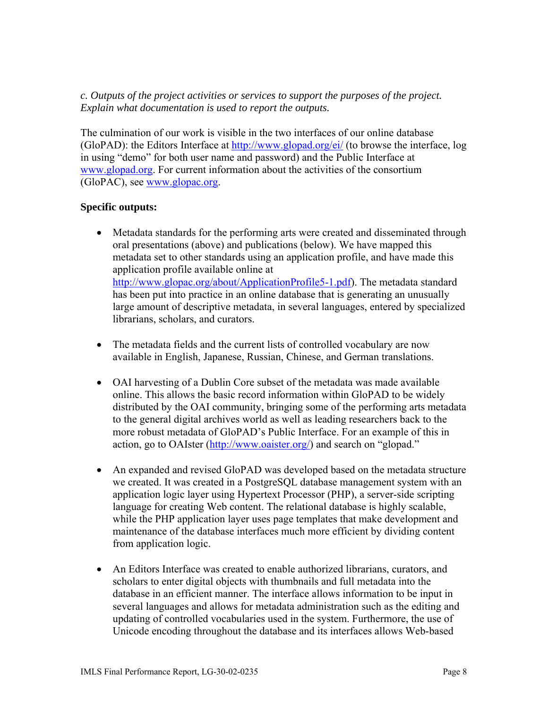*c. Outputs of the project activities or services to support the purposes of the project. Explain what documentation is used to report the outputs.* 

The culmination of our work is visible in the two interfaces of our online database (GloPAD): the Editors Interface at<http://www.glopad.org/ei/>(to browse the interface, log in using "demo" for both user name and password) and the Public Interface at [www.glopad.org.](http://www.glopad.org/) For current information about the activities of the consortium (GloPAC), see [www.glopac.org.](http://www.glopac.org/)

#### **Specific outputs:**

- Metadata standards for the performing arts were created and disseminated through oral presentations (above) and publications (below). We have mapped this metadata set to other standards using an application profile, and have made this application profile available online at <http://www.glopac.org/about/ApplicationProfile5-1.pdf>). The metadata standard has been put into practice in an online database that is generating an unusually large amount of descriptive metadata, in several languages, entered by specialized librarians, scholars, and curators.
- The metadata fields and the current lists of controlled vocabulary are now available in English, Japanese, Russian, Chinese, and German translations.
- OAI harvesting of a Dublin Core subset of the metadata was made available online. This allows the basic record information within GloPAD to be widely distributed by the OAI community, bringing some of the performing arts metadata to the general digital archives world as well as leading researchers back to the more robust metadata of GloPAD's Public Interface. For an example of this in action, go to OAIster [\(http://www.oaister.org/](http://www.oaister.org/)) and search on "glopad."
- An expanded and revised GloPAD was developed based on the metadata structure we created. It was created in a PostgreSQL database management system with an application logic layer using Hypertext Processor (PHP), a server-side scripting language for creating Web content. The relational database is highly scalable, while the PHP application layer uses page templates that make development and maintenance of the database interfaces much more efficient by dividing content from application logic.
- An Editors Interface was created to enable authorized librarians, curators, and scholars to enter digital objects with thumbnails and full metadata into the database in an efficient manner. The interface allows information to be input in several languages and allows for metadata administration such as the editing and updating of controlled vocabularies used in the system. Furthermore, the use of Unicode encoding throughout the database and its interfaces allows Web-based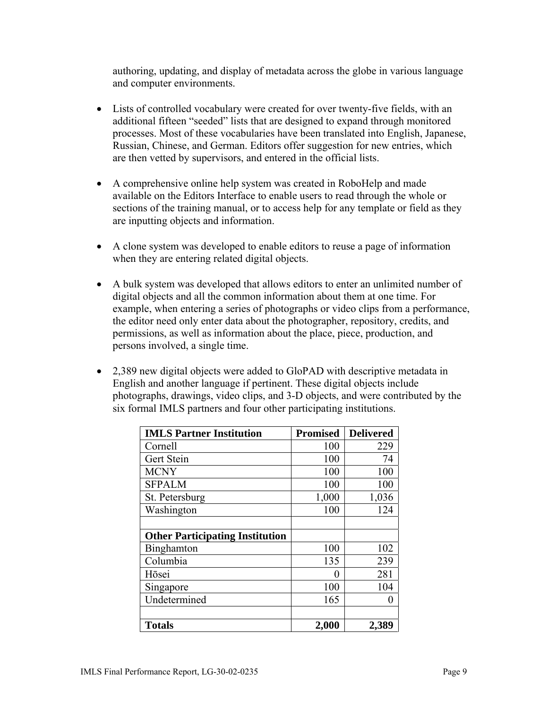authoring, updating, and display of metadata across the globe in various language and computer environments.

- Lists of controlled vocabulary were created for over twenty-five fields, with an additional fifteen "seeded" lists that are designed to expand through monitored processes. Most of these vocabularies have been translated into English, Japanese, Russian, Chinese, and German. Editors offer suggestion for new entries, which are then vetted by supervisors, and entered in the official lists.
- A comprehensive online help system was created in RoboHelp and made available on the Editors Interface to enable users to read through the whole or sections of the training manual, or to access help for any template or field as they are inputting objects and information.
- A clone system was developed to enable editors to reuse a page of information when they are entering related digital objects.
- A bulk system was developed that allows editors to enter an unlimited number of digital objects and all the common information about them at one time. For example, when entering a series of photographs or video clips from a performance, the editor need only enter data about the photographer, repository, credits, and permissions, as well as information about the place, piece, production, and persons involved, a single time.
- 2,389 new digital objects were added to GloPAD with descriptive metadata in English and another language if pertinent. These digital objects include photographs, drawings, video clips, and 3-D objects, and were contributed by the six formal IMLS partners and four other participating institutions.

| <b>IMLS Partner Institution</b>        | <b>Promised</b> | <b>Delivered</b> |
|----------------------------------------|-----------------|------------------|
| Cornell                                | 100             | 229              |
| Gert Stein                             | 100             | 74               |
| <b>MCNY</b>                            | 100             | 100              |
| <b>SFPALM</b>                          | 100             | 100              |
| St. Petersburg                         | 1,000           | 1,036            |
| Washington                             | 100             | 124              |
|                                        |                 |                  |
| <b>Other Participating Institution</b> |                 |                  |
| <b>Binghamton</b>                      | 100             | 102              |
| Columbia                               | 135             | 239              |
| Hōsei                                  | 0               | 281              |
| Singapore                              | 100             | 104              |
| Undetermined                           | 165             |                  |
|                                        |                 |                  |
| <b>Totals</b>                          | 2,000           | 2,389            |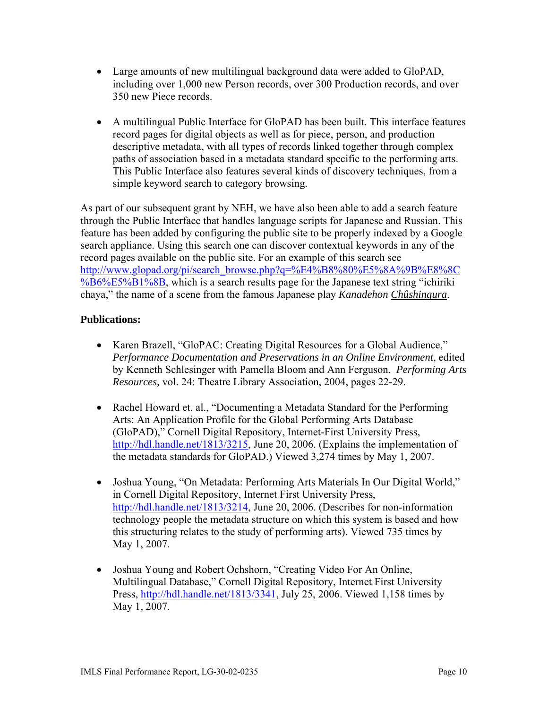- Large amounts of new multilingual background data were added to GloPAD, including over 1,000 new Person records, over 300 Production records, and over 350 new Piece records.
- A multilingual Public Interface for GloPAD has been built. This interface features record pages for digital objects as well as for piece, person, and production descriptive metadata, with all types of records linked together through complex paths of association based in a metadata standard specific to the performing arts. This Public Interface also features several kinds of discovery techniques, from a simple keyword search to category browsing.

As part of our subsequent grant by NEH, we have also been able to add a search feature through the Public Interface that handles language scripts for Japanese and Russian. This feature has been added by configuring the public site to be properly indexed by a Google search appliance. Using this search one can discover contextual keywords in any of the record pages available on the public site. For an example of this search see [http://www.glopad.org/pi/search\\_browse.php?q=%E4%B8%80%E5%8A%9B%E8%8C](http://www.glopad.org/pi/search_browse.php?q=%E4%B8%80%E5%8A%9B%E8%8C%B6%E5%B1%8B) [%B6%E5%B1%8B](http://www.glopad.org/pi/search_browse.php?q=%E4%B8%80%E5%8A%9B%E8%8C%B6%E5%B1%8B), which is a search results page for the Japanese text string "ichiriki" chaya," the name of a scene from the famous Japanese play *Kanadehon Chûshingura*.

### **Publications:**

- Karen Brazell, "GloPAC: Creating Digital Resources for a Global Audience," *Performance Documentation and Preservations in an Online Environment*, edited by Kenneth Schlesinger with Pamella Bloom and Ann Ferguson. *Performing Arts Resources,* vol. 24: Theatre Library Association, 2004, pages 22-29.
- Rachel Howard et. al., "Documenting a Metadata Standard for the Performing Arts: An Application Profile for the Global Performing Arts Database (GloPAD)," Cornell Digital Repository, Internet-First University Press, <http://hdl.handle.net/1813/3215>, June 20, 2006. (Explains the implementation of the metadata standards for GloPAD.) Viewed 3,274 times by May 1, 2007.
- Joshua Young, "On Metadata: Performing Arts Materials In Our Digital World," in Cornell Digital Repository, Internet First University Press, <http://hdl.handle.net/1813/3214>, June 20, 2006. (Describes for non-information technology people the metadata structure on which this system is based and how this structuring relates to the study of performing arts). Viewed 735 times by May 1, 2007.
- Joshua Young and Robert Ochshorn, "Creating Video For An Online, Multilingual Database," Cornell Digital Repository, Internet First University Press, [http://hdl.handle.net/1813/3341,](http://hdl.handle.net/1813/3341) July 25, 2006. Viewed 1,158 times by May 1, 2007.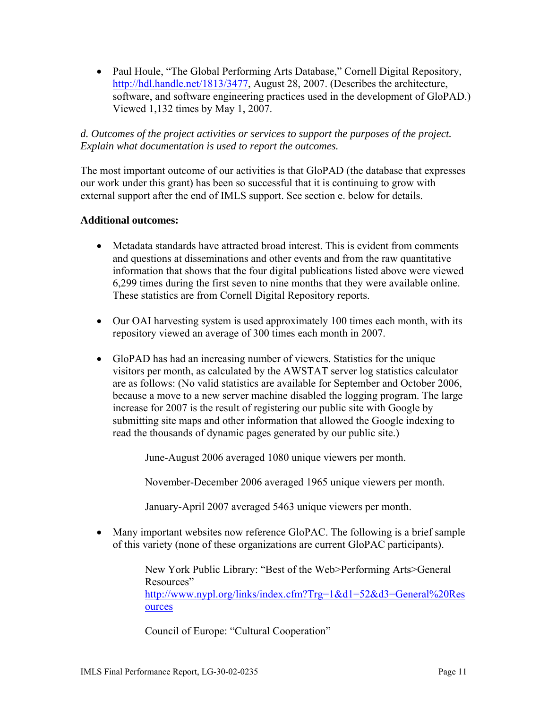• Paul Houle, "The Global Performing Arts Database," Cornell Digital Repository, <http://hdl.handle.net/1813/3477>, August 28, 2007. (Describes the architecture, software, and software engineering practices used in the development of GloPAD.) Viewed 1,132 times by May 1, 2007.

#### *d. Outcomes of the project activities or services to support the purposes of the project. Explain what documentation is used to report the outcomes.*

The most important outcome of our activities is that GloPAD (the database that expresses our work under this grant) has been so successful that it is continuing to grow with external support after the end of IMLS support. See section e. below for details.

#### **Additional outcomes:**

- Metadata standards have attracted broad interest. This is evident from comments and questions at disseminations and other events and from the raw quantitative information that shows that the four digital publications listed above were viewed 6,299 times during the first seven to nine months that they were available online. These statistics are from Cornell Digital Repository reports.
- Our OAI harvesting system is used approximately 100 times each month, with its repository viewed an average of 300 times each month in 2007.
- GloPAD has had an increasing number of viewers. Statistics for the unique visitors per month, as calculated by the AWSTAT server log statistics calculator are as follows: (No valid statistics are available for September and October 2006, because a move to a new server machine disabled the logging program. The large increase for 2007 is the result of registering our public site with Google by submitting site maps and other information that allowed the Google indexing to read the thousands of dynamic pages generated by our public site.)

June-August 2006 averaged 1080 unique viewers per month.

November-December 2006 averaged 1965 unique viewers per month.

January-April 2007 averaged 5463 unique viewers per month.

• Many important websites now reference GloPAC. The following is a brief sample of this variety (none of these organizations are current GloPAC participants).

> New York Public Library: "Best of the Web>Performing Arts>General Resources" [http://www.nypl.org/links/index.cfm?Trg=1&d1=52&d3=General%20Res](http://www.nypl.org/links/index.cfm?Trg=1&d1=52&d3=General%20Resources) [ources](http://www.nypl.org/links/index.cfm?Trg=1&d1=52&d3=General%20Resources)

Council of Europe: "Cultural Cooperation"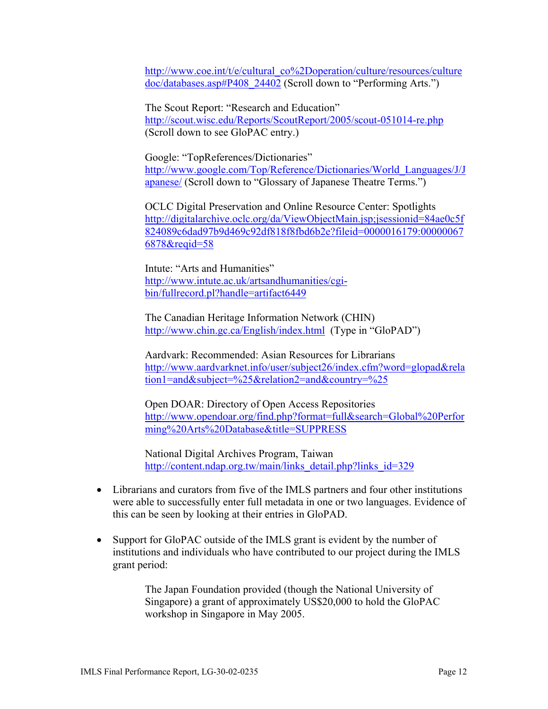http://www.coe.int/t/e/cultural\_co%2Doperation/culture/resources/culture doc/databases.asp#P408\_24402 (Scroll down to "Performing Arts.")

The Scout Report: "Research and Education" <http://scout.wisc.edu/Reports/ScoutReport/2005/scout-051014-re.php> (Scroll down to see GloPAC entry.)

Google: "TopReferences/Dictionaries" [http://www.google.com/Top/Reference/Dictionaries/World\\_Languages/J/J](http://www.google.com/Top/Reference/Dictionaries/World_Languages/J/Japanese/) [apanese/](http://www.google.com/Top/Reference/Dictionaries/World_Languages/J/Japanese/) (Scroll down to "Glossary of Japanese Theatre Terms.")

OCLC Digital Preservation and Online Resource Center: Spotlights [http://digitalarchive.oclc.org/da/ViewObjectMain.jsp;jsessionid=84ae0c5f](http://digitalarchive.oclc.org/da/ViewObjectMain.jsp;jsessionid=84ae0c5f824089c6dad97b9d469c92df818f8fbd6b2e?fileid=0000016179:000000676878&reqid=58) [824089c6dad97b9d469c92df818f8fbd6b2e?fileid=0000016179:00000067](http://digitalarchive.oclc.org/da/ViewObjectMain.jsp;jsessionid=84ae0c5f824089c6dad97b9d469c92df818f8fbd6b2e?fileid=0000016179:000000676878&reqid=58) [6878&reqid=58](http://digitalarchive.oclc.org/da/ViewObjectMain.jsp;jsessionid=84ae0c5f824089c6dad97b9d469c92df818f8fbd6b2e?fileid=0000016179:000000676878&reqid=58)

Intute: "Arts and Humanities" [http://www.intute.ac.uk/artsandhumanities/cgi](http://www.intute.ac.uk/artsandhumanities/cgi-bin/fullrecord.pl?handle=artifact6449)[bin/fullrecord.pl?handle=artifact6449](http://www.intute.ac.uk/artsandhumanities/cgi-bin/fullrecord.pl?handle=artifact6449)

The Canadian Heritage Information Network (CHIN) <http://www.chin.gc.ca/English/index.html> (Type in "GloPAD")

Aardvark: Recommended: Asian Resources for Librarians [http://www.aardvarknet.info/user/subject26/index.cfm?word=glopad&rela](http://www.aardvarknet.info/user/subject26/index.cfm?word=glopad&relation1=and&subject=%25&relation2=and&country=%25) [tion1=and&subject=%25&relation2=and&country=%25](http://www.aardvarknet.info/user/subject26/index.cfm?word=glopad&relation1=and&subject=%25&relation2=and&country=%25)

Open DOAR: Directory of Open Access Repositories [http://www.opendoar.org/find.php?format=full&search=Global%20Perfor](http://www.opendoar.org/find.php?format=full&search=Global%20Performing%20Arts%20Database&title=SUPPRESS) [ming%20Arts%20Database&title=SUPPRESS](http://www.opendoar.org/find.php?format=full&search=Global%20Performing%20Arts%20Database&title=SUPPRESS)

National Digital Archives Program, Taiwan [http://content.ndap.org.tw/main/links\\_detail.php?links\\_id=329](http://content.ndap.org.tw/main/links_detail.php?links_id=329)

- Librarians and curators from five of the IMLS partners and four other institutions were able to successfully enter full metadata in one or two languages. Evidence of this can be seen by looking at their entries in GloPAD.
- Support for GloPAC outside of the IMLS grant is evident by the number of institutions and individuals who have contributed to our project during the IMLS grant period:

The Japan Foundation provided (though the National University of Singapore) a grant of approximately US\$20,000 to hold the GloPAC workshop in Singapore in May 2005.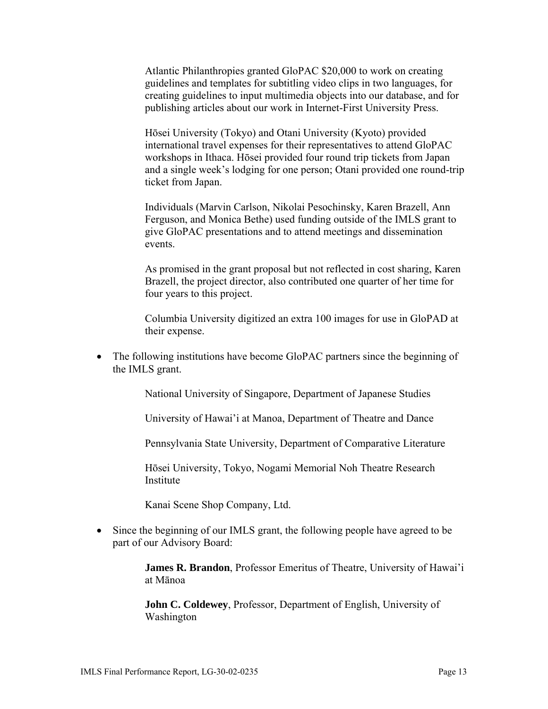Atlantic Philanthropies granted GloPAC \$20,000 to work on creating guidelines and templates for subtitling video clips in two languages, for creating guidelines to input multimedia objects into our database, and for publishing articles about our work in Internet-First University Press.

Hōsei University (Tokyo) and Otani University (Kyoto) provided international travel expenses for their representatives to attend GloPAC workshops in Ithaca. Hōsei provided four round trip tickets from Japan and a single week's lodging for one person; Otani provided one round-trip ticket from Japan.

Individuals (Marvin Carlson, Nikolai Pesochinsky, Karen Brazell, Ann Ferguson, and Monica Bethe) used funding outside of the IMLS grant to give GloPAC presentations and to attend meetings and dissemination events.

As promised in the grant proposal but not reflected in cost sharing, Karen Brazell, the project director, also contributed one quarter of her time for four years to this project.

Columbia University digitized an extra 100 images for use in GloPAD at their expense.

• The following institutions have become GloPAC partners since the beginning of the IMLS grant.

National University of Singapore, Department of Japanese Studies

University of Hawai'i at Manoa, Department of Theatre and Dance

Pennsylvania State University, Department of Comparative Literature

Hōsei University, Tokyo, Nogami Memorial Noh Theatre Research Institute

Kanai Scene Shop Company, Ltd.

• Since the beginning of our IMLS grant, the following people have agreed to be part of our Advisory Board:

> **James R. Brandon**, Professor Emeritus of Theatre, University of Hawai'i at Mānoa

**John C. Coldewey**, Professor, Department of English, University of Washington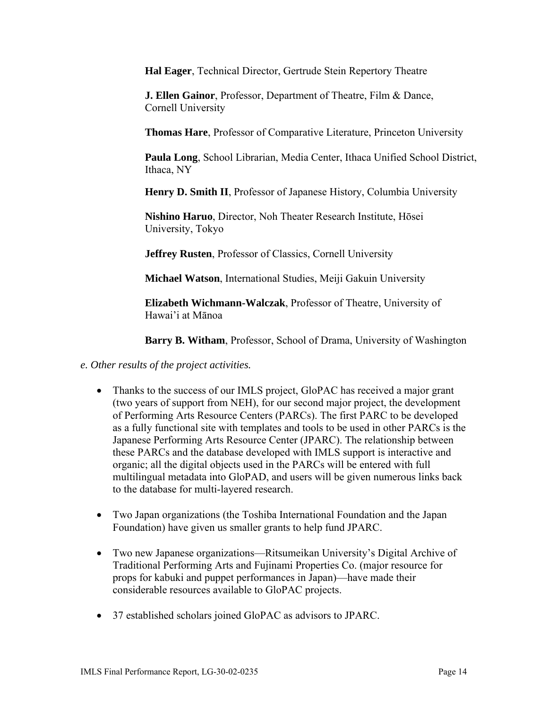**Hal Eager**, Technical Director, Gertrude Stein Repertory Theatre

**J. Ellen Gainor**, Professor, Department of Theatre, Film & Dance, Cornell University

**Thomas Hare**, Professor of Comparative Literature, Princeton University

**Paula Long**, School Librarian, Media Center, Ithaca Unified School District, Ithaca, NY

**Henry D. Smith II**, Professor of Japanese History, Columbia University

**Nishino Haruo**, Director, Noh Theater Research Institute, Hōsei University, Tokyo

**Jeffrey Rusten**, Professor of Classics, Cornell University

**Michael Watson**, International Studies, Meiji Gakuin University

**Elizabeth Wichmann-Walczak**, Professor of Theatre, University of Hawai'i at Mānoa

**Barry B. Witham**, Professor, School of Drama, University of Washington

*e. Other results of the project activities.* 

- Thanks to the success of our IMLS project, GloPAC has received a major grant (two years of support from NEH), for our second major project, the development of Performing Arts Resource Centers (PARCs). The first PARC to be developed as a fully functional site with templates and tools to be used in other PARCs is the Japanese Performing Arts Resource Center (JPARC). The relationship between these PARCs and the database developed with IMLS support is interactive and organic; all the digital objects used in the PARCs will be entered with full multilingual metadata into GloPAD, and users will be given numerous links back to the database for multi-layered research.
- Two Japan organizations (the Toshiba International Foundation and the Japan Foundation) have given us smaller grants to help fund JPARC.
- Two new Japanese organizations—Ritsumeikan University's Digital Archive of Traditional Performing Arts and Fujinami Properties Co. (major resource for props for kabuki and puppet performances in Japan)—have made their considerable resources available to GloPAC projects.
- 37 established scholars joined GloPAC as advisors to JPARC.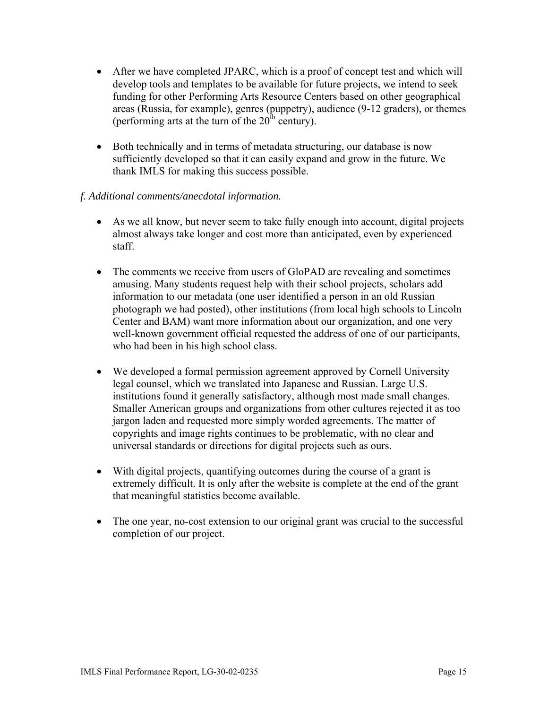- After we have completed JPARC, which is a proof of concept test and which will develop tools and templates to be available for future projects, we intend to seek funding for other Performing Arts Resource Centers based on other geographical areas (Russia, for example), genres (puppetry), audience (9-12 graders), or themes (performing arts at the turn of the  $20^{\text{th}}$  century).
- Both technically and in terms of metadata structuring, our database is now sufficiently developed so that it can easily expand and grow in the future. We thank IMLS for making this success possible.

#### *f. Additional comments/anecdotal information.*

- As we all know, but never seem to take fully enough into account, digital projects almost always take longer and cost more than anticipated, even by experienced staff.
- The comments we receive from users of GloPAD are revealing and sometimes amusing. Many students request help with their school projects, scholars add information to our metadata (one user identified a person in an old Russian photograph we had posted), other institutions (from local high schools to Lincoln Center and BAM) want more information about our organization, and one very well-known government official requested the address of one of our participants, who had been in his high school class.
- We developed a formal permission agreement approved by Cornell University legal counsel, which we translated into Japanese and Russian. Large U.S. institutions found it generally satisfactory, although most made small changes. Smaller American groups and organizations from other cultures rejected it as too jargon laden and requested more simply worded agreements. The matter of copyrights and image rights continues to be problematic, with no clear and universal standards or directions for digital projects such as ours.
- With digital projects, quantifying outcomes during the course of a grant is extremely difficult. It is only after the website is complete at the end of the grant that meaningful statistics become available.
- The one year, no-cost extension to our original grant was crucial to the successful completion of our project.